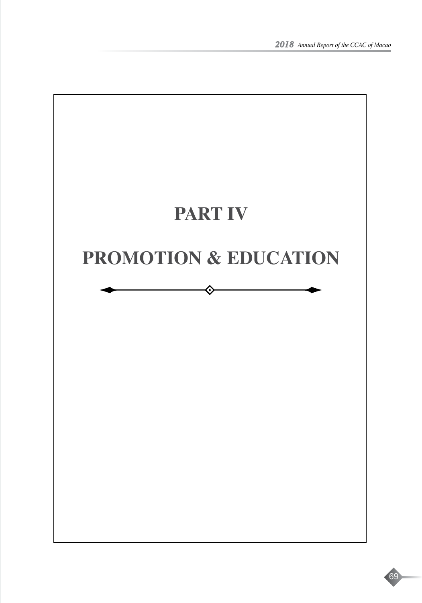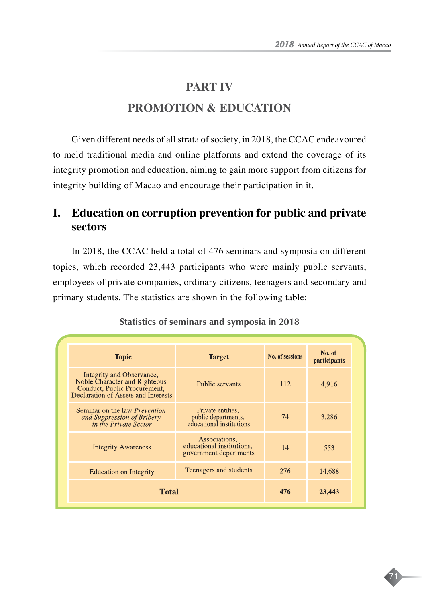71

# **PART IV PROMOTION & EDUCATION**

Given different needs of all strata of society, in 2018, the CCAC endeavoured to meld traditional media and online platforms and extend the coverage of its integrity promotion and education, aiming to gain more support from citizens for integrity building of Macao and encourage their participation in it.

## **I. Education on corruption prevention for public and private sectors**

In 2018, the CCAC held a total of 476 seminars and symposia on different topics, which recorded 23,443 participants who were mainly public servants, employees of private companies, ordinary citizens, teenagers and secondary and primary students. The statistics are shown in the following table:

| <b>Topic</b>                                                                                                                      | <b>Target</b>                                                        | No. of sessions | No. of<br>participants |
|-----------------------------------------------------------------------------------------------------------------------------------|----------------------------------------------------------------------|-----------------|------------------------|
| Integrity and Observance,<br>Noble Character and Righteous<br>Conduct, Public Procurement,<br>Declaration of Assets and Interests | Public servants                                                      | 112             | 4,916                  |
| Seminar on the law <i>Prevention</i><br>and Suppression of Bribery<br>in the Private Sector                                       | Private entities.<br>public departments,<br>educational institutions | 74              | 3,286                  |
| <b>Integrity Awareness</b>                                                                                                        | Associations,<br>educational institutions,<br>government departments | 14              | 553                    |
| <b>Education on Integrity</b>                                                                                                     | Teenagers and students                                               | 276             | 14,688                 |
| <b>Total</b>                                                                                                                      |                                                                      | 476             | 23,443                 |

#### **Statistics of seminars and symposia in 2018**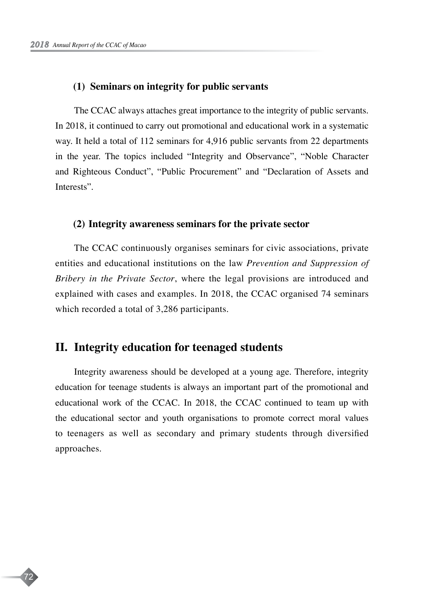72

#### **(1) Seminars on integrity for public servants**

The CCAC always attaches great importance to the integrity of public servants. In 2018, it continued to carry out promotional and educational work in a systematic way. It held a total of 112 seminars for 4,916 public servants from 22 departments in the year. The topics included "Integrity and Observance", "Noble Character and Righteous Conduct", "Public Procurement" and "Declaration of Assets and Interests".

#### **(2) Integrity awareness seminars for the private sector**

The CCAC continuously organises seminars for civic associations, private entities and educational institutions on the law *Prevention and Suppression of Bribery in the Private Sector*, where the legal provisions are introduced and explained with cases and examples. In 2018, the CCAC organised 74 seminars which recorded a total of 3,286 participants.

## **II. Integrity education for teenaged students**

Integrity awareness should be developed at a young age. Therefore, integrity education for teenage students is always an important part of the promotional and educational work of the CCAC. In 2018, the CCAC continued to team up with the educational sector and youth organisations to promote correct moral values to teenagers as well as secondary and primary students through diversified approaches.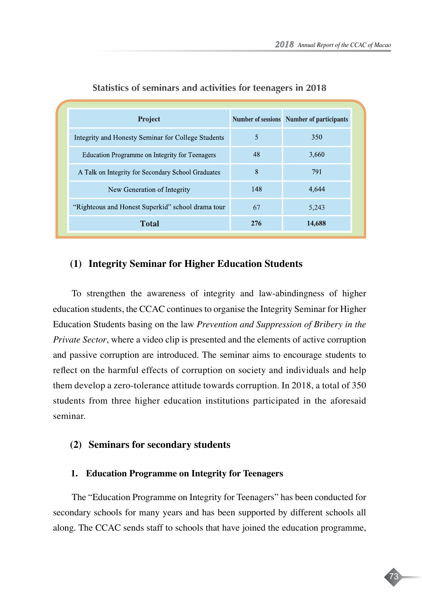| <b>Project</b>                                     |     | <b>Number of sessions</b> Number of participants |
|----------------------------------------------------|-----|--------------------------------------------------|
| Integrity and Honesty Seminar for College Students | 5   | 350                                              |
| Education Programme on Integrity for Teenagers     | 48  | 3.660                                            |
| A Talk on Integrity for Secondary School Graduates | 8   | 791                                              |
| New Generation of Integrity                        | 148 | 4,644                                            |
| "Righteous and Honest Superkid" school drama tour  | 67  | 5,243                                            |
| <b>Total</b>                                       | 276 | 14,688                                           |

#### **Statistics of seminars and activities for teenagers in 2018**

### **(1) Integrity Seminar for Higher Education Students**

To strengthen the awareness of integrity and law-abindingness of higher education students, the CCAC continues to organise the Integrity Seminar for Higher Education Students basing on the law *Prevention and Suppression of Bribery in the Private Sector*, where a video clip is presented and the elements of active corruption and passive corruption are introduced. The seminar aims to encourage students to reflect on the harmful effects of corruption on society and individuals and help them develop a zero-tolerance attitude towards corruption. In 2018, a total of 350 students from three higher education institutions participated in the aforesaid seminar.

#### **(2) Seminars for secondary students**

#### **1. Education Programme on Integrity for Teenagers**

The "Education Programme on Integrity for Teenagers" has been conducted for secondary schools for many years and has been supported by different schools all along. The CCAC sends staff to schools that have joined the education programme,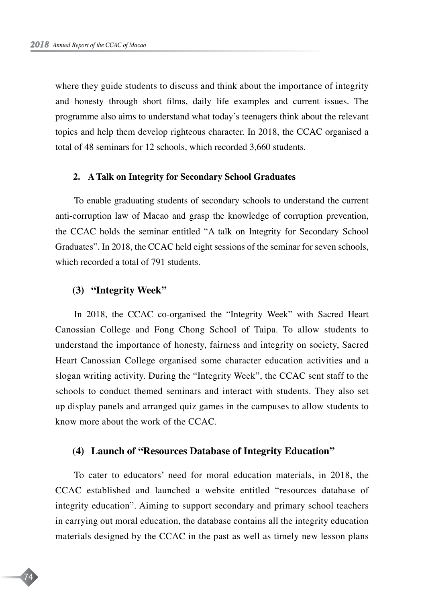where they guide students to discuss and think about the importance of integrity and honesty through short films, daily life examples and current issues. The programme also aims to understand what today's teenagers think about the relevant topics and help them develop righteous character. In 2018, the CCAC organised a total of 48 seminars for 12 schools, which recorded 3,660 students.

#### **2. A Talk on Integrity for Secondary School Graduates**

To enable graduating students of secondary schools to understand the current anti-corruption law of Macao and grasp the knowledge of corruption prevention, the CCAC holds the seminar entitled "A talk on Integrity for Secondary School Graduates". In 2018, the CCAC held eight sessions of the seminar for seven schools, which recorded a total of 791 students.

#### **(3) "Integrity Week"**

74

In 2018, the CCAC co-organised the "Integrity Week" with Sacred Heart Canossian College and Fong Chong School of Taipa. To allow students to understand the importance of honesty, fairness and integrity on society, Sacred Heart Canossian College organised some character education activities and a slogan writing activity. During the "Integrity Week", the CCAC sent staff to the schools to conduct themed seminars and interact with students. They also set up display panels and arranged quiz games in the campuses to allow students to know more about the work of the CCAC.

#### **(4) Launch of "Resources Database of Integrity Education"**

To cater to educators' need for moral education materials, in 2018, the CCAC established and launched a website entitled "resources database of integrity education". Aiming to support secondary and primary school teachers in carrying out moral education, the database contains all the integrity education materials designed by the CCAC in the past as well as timely new lesson plans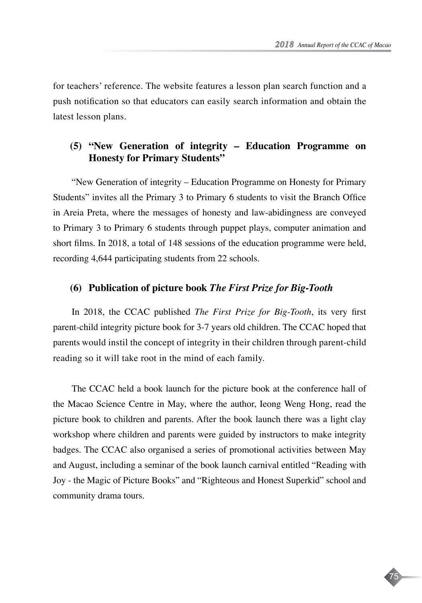75

for teachers' reference. The website features a lesson plan search function and a push notification so that educators can easily search information and obtain the latest lesson plans.

## **(5) "New Generation of integrity – Education Programme on Honesty for Primary Students"**

"New Generation of integrity – Education Programme on Honesty for Primary Students" invites all the Primary 3 to Primary 6 students to visit the Branch Office in Areia Preta, where the messages of honesty and law-abidingness are conveyed to Primary 3 to Primary 6 students through puppet plays, computer animation and short films. In 2018, a total of 148 sessions of the education programme were held, recording 4,644 participating students from 22 schools.

#### **(6) Publication of picture book** *The First Prize for Big-Tooth*

In 2018, the CCAC published *The First Prize for Big-Tooth*, its very first parent-child integrity picture book for 3-7 years old children. The CCAC hoped that parents would instil the concept of integrity in their children through parent-child reading so it will take root in the mind of each family.

The CCAC held a book launch for the picture book at the conference hall of the Macao Science Centre in May, where the author, Ieong Weng Hong, read the picture book to children and parents. After the book launch there was a light clay workshop where children and parents were guided by instructors to make integrity badges. The CCAC also organised a series of promotional activities between May and August, including a seminar of the book launch carnival entitled "Reading with Joy - the Magic of Picture Books" and "Righteous and Honest Superkid" school and community drama tours.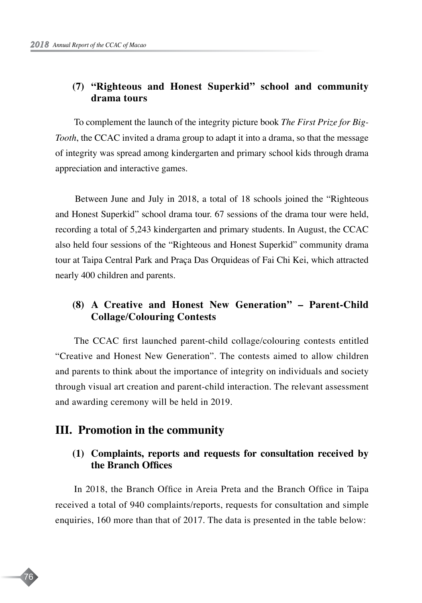## **(7) "Righteous and Honest Superkid" school and community drama tours**

To complement the launch of the integrity picture book *The First Prize for Big-Tooth*, the CCAC invited a drama group to adapt it into a drama, so that the message of integrity was spread among kindergarten and primary school kids through drama appreciation and interactive games.

Between June and July in 2018, a total of 18 schools joined the "Righteous and Honest Superkid" school drama tour. 67 sessions of the drama tour were held, recording a total of 5,243 kindergarten and primary students. In August, the CCAC also held four sessions of the "Righteous and Honest Superkid" community drama tour at Taipa Central Park and Praça Das Orquideas of Fai Chi Kei, which attracted nearly 400 children and parents.

## **(8) A Creative and Honest New Generation" – Parent-Child Collage/Colouring Contests**

The CCAC first launched parent-child collage/colouring contests entitled "Creative and Honest New Generation". The contests aimed to allow children and parents to think about the importance of integrity on individuals and society through visual art creation and parent-child interaction. The relevant assessment and awarding ceremony will be held in 2019.

## **III. Promotion in the community**

76

## **(1) Complaints, reports and requests for consultation received by the Branch Offices**

In 2018, the Branch Office in Areia Preta and the Branch Office in Taipa received a total of 940 complaints/reports, requests for consultation and simple enquiries, 160 more than that of 2017. The data is presented in the table below: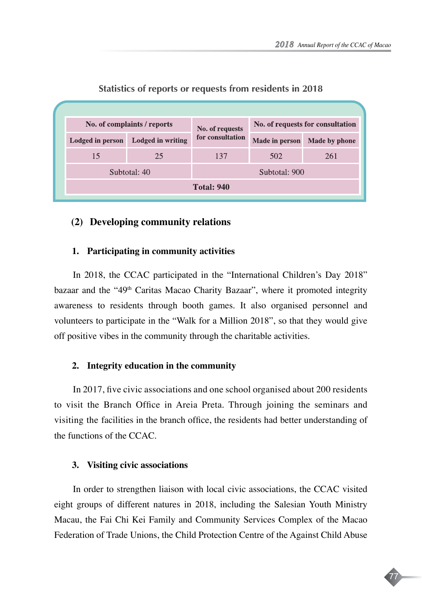

#### **Statistics of reports or requests from residents in 2018**

## **(2) Developing community relations**

#### **1. Participating in community activities**

In 2018, the CCAC participated in the "International Children's Day 2018" bazaar and the "49<sup>th</sup> Caritas Macao Charity Bazaar", where it promoted integrity awareness to residents through booth games. It also organised personnel and volunteers to participate in the "Walk for a Million 2018", so that they would give off positive vibes in the community through the charitable activities.

#### **2. Integrity education in the community**

In 2017, five civic associations and one school organised about 200 residents to visit the Branch Office in Areia Preta. Through joining the seminars and visiting the facilities in the branch office, the residents had better understanding of the functions of the CCAC.

#### **3. Visiting civic associations**

In order to strengthen liaison with local civic associations, the CCAC visited eight groups of different natures in 2018, including the Salesian Youth Ministry Macau, the Fai Chi Kei Family and Community Services Complex of the Macao Federation of Trade Unions, the Child Protection Centre of the Against Child Abuse